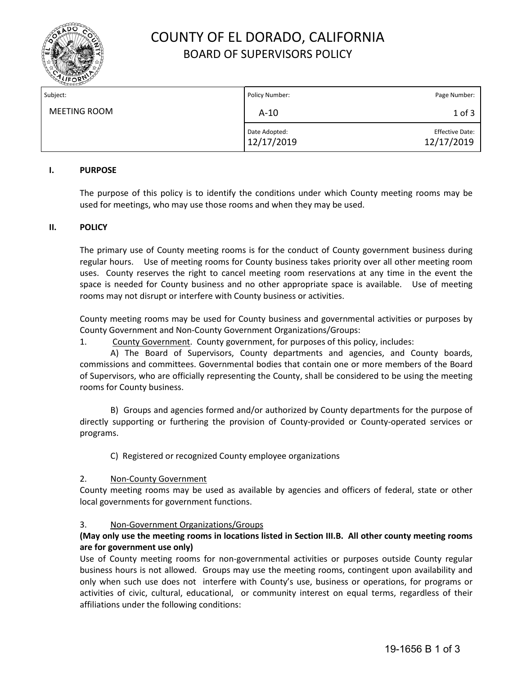

# COUNTY OF EL DORADO, CALIFORNIA BOARD OF SUPERVISORS POLICY

| Subject:     | Policy Number:              | Page Number:                         |
|--------------|-----------------------------|--------------------------------------|
| MEETING ROOM | $A-10$                      | $1$ of $3$                           |
|              | Date Adopted:<br>12/17/2019 | <b>Effective Date:</b><br>12/17/2019 |

## **I. PURPOSE**

The purpose of this policy is to identify the conditions under which County meeting rooms may be used for meetings, who may use those rooms and when they may be used.

## **II. POLICY**

The primary use of County meeting rooms is for the conduct of County government business during regular hours. Use of meeting rooms for County business takes priority over all other meeting room uses. County reserves the right to cancel meeting room reservations at any time in the event the space is needed for County business and no other appropriate space is available. Use of meeting rooms may not disrupt or interfere with County business or activities.

County meeting rooms may be used for County business and governmental activities or purposes by County Government and Non-County Government Organizations/Groups:

1. County Government. County government, for purposes of this policy, includes:

A) The Board of Supervisors, County departments and agencies, and County boards, commissions and committees. Governmental bodies that contain one or more members of the Board of Supervisors, who are officially representing the County, shall be considered to be using the meeting rooms for County business.

B) Groups and agencies formed and/or authorized by County departments for the purpose of directly supporting or furthering the provision of County-provided or County-operated services or programs.

C) Registered or recognized County employee organizations

## 2. Non-County Government

County meeting rooms may be used as available by agencies and officers of federal, state or other local governments for government functions.

## 3. Non-Government Organizations/Groups

# **(May only use the meeting rooms in locations listed in Section III.B. All other county meeting rooms are for government use only)**

Use of County meeting rooms for non-governmental activities or purposes outside County regular business hours is not allowed. Groups may use the meeting rooms, contingent upon availability and only when such use does not interfere with County's use, business or operations, for programs or activities of civic, cultural, educational, or community interest on equal terms, regardless of their affiliations under the following conditions: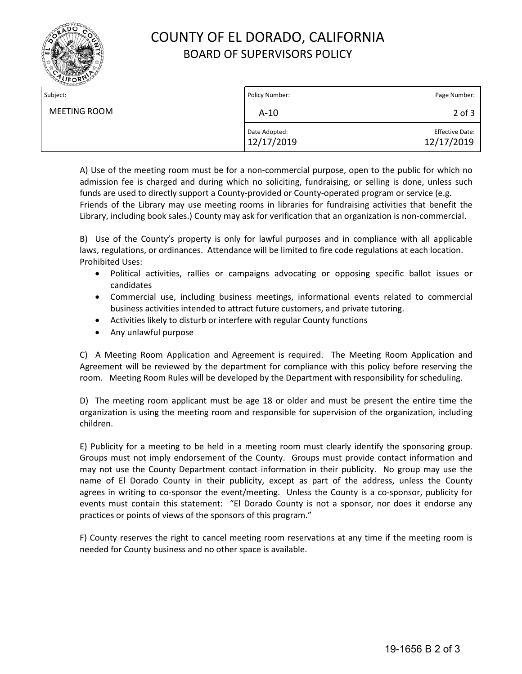

# COUNTY OF EL DORADO, CALIFORNIA BOARD OF SUPERVISORS POLICY

| Subject:     | Policy Number:              | Page Number:                         |
|--------------|-----------------------------|--------------------------------------|
| MEETING ROOM | $A-10$                      | $2$ of $3$                           |
|              | Date Adopted:<br>12/17/2019 | <b>Effective Date:</b><br>12/17/2019 |

A) Use of the meeting room must be for a non-commercial purpose, open to the public for which no admission fee is charged and during which no soliciting, fundraising, or selling is done, unless such funds are used to directly support a County-provided or County-operated program or service (e.g. Friends of the Library may use meeting rooms in libraries for fundraising activities that benefit the Library, including book sales.) County may ask for verification that an organization is non-commercial.

B) Use of the County's property is only for lawful purposes and in compliance with all applicable laws, regulations, or ordinances. Attendance will be limited to fire code regulations at each location. Prohibited Uses:

- Political activities, rallies or campaigns advocating or opposing specific ballot issues or candidates
- Commercial use, including business meetings, informational events related to commercial business activities intended to attract future customers, and private tutoring.
- Activities likely to disturb or interfere with regular County functions
- Any unlawful purpose

C) A Meeting Room Application and Agreement is required. The Meeting Room Application and Agreement will be reviewed by the department for compliance with this policy before reserving the room. Meeting Room Rules will be developed by the Department with responsibility for scheduling.

D) The meeting room applicant must be age 18 or older and must be present the entire time the organization is using the meeting room and responsible for supervision of the organization, including children.

E) Publicity for a meeting to be held in a meeting room must clearly identify the sponsoring group. Groups must not imply endorsement of the County. Groups must provide contact information and may not use the County Department contact information in their publicity. No group may use the name of El Dorado County in their publicity, except as part of the address, unless the County agrees in writing to co-sponsor the event/meeting. Unless the County is a co-sponsor, publicity for events must contain this statement: "El Dorado County is not a sponsor, nor does it endorse any practices or points of views of the sponsors of this program."

F) County reserves the right to cancel meeting room reservations at any time if the meeting room is needed for County business and no other space is available.